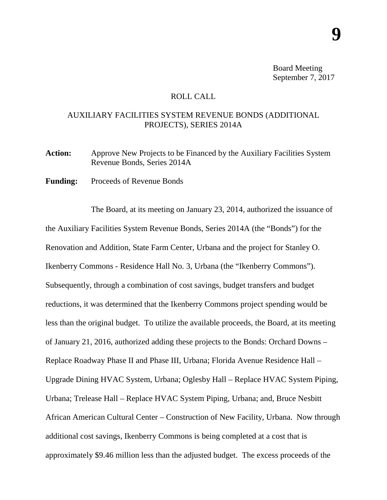Board Meeting September 7, 2017

## ROLL CALL

## AUXILIARY FACILITIES SYSTEM REVENUE BONDS (ADDITIONAL PROJECTS), SERIES 2014A

Action: Approve New Projects to be Financed by the Auxiliary Facilities System Revenue Bonds, Series 2014A

Funding: Proceeds of Revenue Bonds

The Board, at its meeting on January 23, 2014, authorized the issuance of the Auxiliary Facilities System Revenue Bonds, Series 2014A (the "Bonds") for the Renovation and Addition, State Farm Center, Urbana and the project for Stanley O. Ikenberry Commons - Residence Hall No. 3, Urbana (the "Ikenberry Commons"). Subsequently, through a combination of cost savings, budget transfers and budget reductions, it was determined that the Ikenberry Commons project spending would be less than the original budget. To utilize the available proceeds, the Board, at its meeting of January 21, 2016, authorized adding these projects to the Bonds: Orchard Downs – Replace Roadway Phase II and Phase III, Urbana; Florida Avenue Residence Hall – Upgrade Dining HVAC System, Urbana; Oglesby Hall – Replace HVAC System Piping, Urbana; Trelease Hall – Replace HVAC System Piping, Urbana; and, Bruce Nesbitt African American Cultural Center – Construction of New Facility, Urbana. Now through additional cost savings, Ikenberry Commons is being completed at a cost that is approximately \$9.46 million less than the adjusted budget. The excess proceeds of the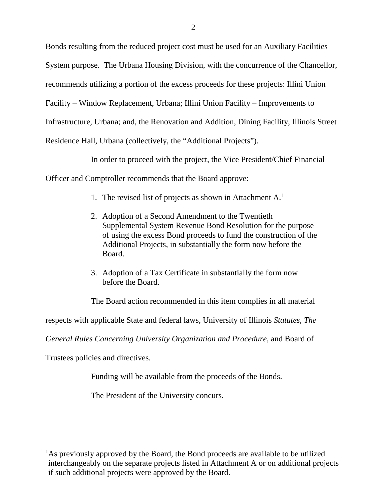Bonds resulting from the reduced project cost must be used for an Auxiliary Facilities System purpose. The Urbana Housing Division, with the concurrence of the Chancellor, recommends utilizing a portion of the excess proceeds for these projects: Illini Union Facility – Window Replacement, Urbana; Illini Union Facility – Improvements to Infrastructure, Urbana; and, the Renovation and Addition, Dining Facility, Illinois Street Residence Hall, Urbana (collectively, the "Additional Projects").

In order to proceed with the project, the Vice President/Chief Financial

Officer and Comptroller recommends that the Board approve:

- [1](#page-1-0). The revised list of projects as shown in Attachment A.<sup>1</sup>
- 2. Adoption of a Second Amendment to the Twentieth Supplemental System Revenue Bond Resolution for the purpose of using the excess Bond proceeds to fund the construction of the Additional Projects, in substantially the form now before the Board.
- 3. Adoption of a Tax Certificate in substantially the form now before the Board.

The Board action recommended in this item complies in all material

respects with applicable State and federal laws, University of Illinois *Statutes, The* 

*General Rules Concerning University Organization and Procedure,* and Board of

Trustees policies and directives.

Funding will be available from the proceeds of the Bonds.

The President of the University concurs.

<span id="page-1-0"></span> $\frac{1}{1}$ <sup>1</sup>As previously approved by the Board, the Bond proceeds are available to be utilized interchangeably on the separate projects listed in Attachment A or on additional projects if such additional projects were approved by the Board.